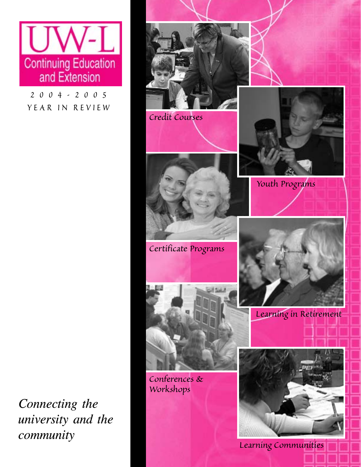

*2004-2005 YEAR IN REVIEW*

*Connecting the university and the community*

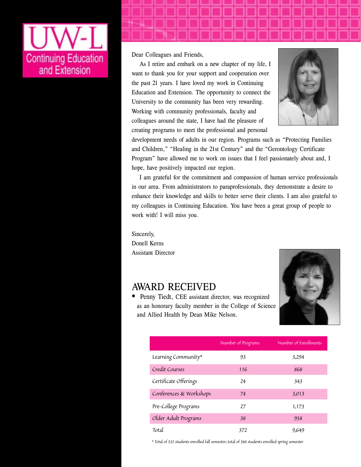

Dear Colleagues and Friends,

As I retire and embark on a new chapter of my life, I want to thank you for your support and cooperation over the past 21 years. I have loved my work in Continuing Education and Extension. The opportunity to connect the University to the community has been very rewarding. Working with community professionals, faculty and colleagues around the state, I have had the pleasure of creating programs to meet the professional and personal



development needs of adults in our region. Programs such as "Protecting Families and Children," "Healing in the 21st Century" and the "Gerontology Certificate Program" have allowed me to work on issues that I feel passionately about and, I hope, have positively impacted our region.

I am grateful for the commitment and compassion of human service professionals in our area. From administrators to paraprofessionals, they demonstrate a desire to enhance their knowledge and skills to better serve their clients. I am also grateful to my colleagues in Continuing Education. You have been a great group of people to work with! I will miss you.

Sincerely, Donell Kerns Assistant Director

#### AWARD RECEIVED



• Penny Tiedt, CEE assistant director, was recognized as an honorary faculty member in the College of Science and Allied Health by Dean Mike Nelson.

|                         | Number of Programs | Number of Enrollments |
|-------------------------|--------------------|-----------------------|
| Learning Community*     | 93                 | 3,294                 |
| Credit Courses          | 116                | 868                   |
| Certificate Offerings   | 24                 | 343                   |
| Conferences & Workshops | 74                 | 3,013                 |
| Pre-College Programs    | 27                 | 1,173                 |
| Older Adult Programs    | 38                 | 958                   |
| Total                   | 372                | 9,649                 |

*\* Total of 532 students enrolled fall semester; total of 566 students enrolled spring semester*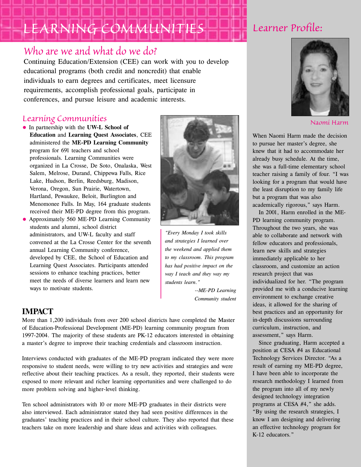# *LEARNING COMMUNITIES*

#### *Who are we and what do we do?*

Continuing Education/Extension (CEE) can work with you to develop educational programs (both credit and noncredit) that enable individuals to earn degrees and certificates, meet licensure requirements, accomplish professional goals, participate in conferences, and pursue leisure and academic interests.

#### *Learning Communities*

- In partnership with the **UW-L School of Education** and **Learning Quest Associates**, CEE administered the **ME-PD Learning Community** program for 691 teachers and school professionals. Learning Communities were organized in La Crosse, De Soto, Onalaska, West Salem, Melrose, Durand, Chippewa Falls, Rice Lake, Hudson, Berlin, Reedsburg, Madison, Verona, Oregon, Sun Prairie, Watertown, Hartland, Pewaukee, Beloit, Burlington and Menomonee Falls. In May, 164 graduate students received their ME-PD degree from this program.
- Approximately 560 ME-PD Learning Community students and alumni, school district administrators, and UW-L faculty and staff convened at the La Crosse Center for the seventh annual Learning Community conference, developed by CEE, the School of Education and Learning Quest Associates. Participants attended sessions to enhance teaching practices, better meet the needs of diverse learners and learn new ways to motivate students.

#### **IMPACT**

More than 1,200 individuals from over 200 school districts have completed the Master of Education-Professional Development (ME-PD) learning community program from 1997-2004. The majority of these students are PK-12 educators interested in obtaining a master's degree to improve their teaching credentials and classroom instruction.

Interviews conducted with graduates of the ME-PD program indicated they were more responsive to student needs, were willing to try new activities and strategies and were reflective about their teaching practices. As a result, they reported, their students were exposed to more relevant and richer learning opportunities and were challenged to do more problem solving and higher-level thinking.

Ten school administrators with 10 or more ME-PD graduates in their districts were also interviewed. Each administrator stated they had seen positive differences in the graduates' teaching practices and in their school culture. They also reported that these teachers take on more leadership and share ideas and activities with colleagues.

*"Every Monday I took skills and strategies I learned over the weekend and applied them to my classroom. This program has had positive impact on the way I teach and they way my*

*students learn."*

*--ME-PD Learning Community student*

### *Learner Profile:*



*Naomi Harm*

When Naomi Harm made the decision to pursue her master's degree, she knew that it had to accommodate her already busy schedule. At the time, she was a full-time elementary school teacher raising a family of four. "I was looking for a program that would have the least disruption to my family life but a program that was also academically rigorous," says Harm.

In 2001, Harm enrolled in the ME-PD learning community program. Throughout the two years, she was able to collaborate and network with fellow educators and professionals, learn new skills and strategies immediately applicable to her classroom, and customize an action research project that was individualized for her. "The program provided me with a conducive learning environment to exchange creative ideas, it allowed for the sharing of best practices and an opportunity for in-depth discussions surrounding curriculum, instruction, and assessment," says Harm.

Since graduating, Harm accepted a position at CESA #4 as Educational Technology Services Director. "As a result of earning my ME-PD degree, I have been able to incorporate the research methodology I learned from the program into all of my newly designed technology integration programs at CESA #4," she adds. "By using the research strategies, I know I am designing and delivering an effective technology program for K-12 educators."

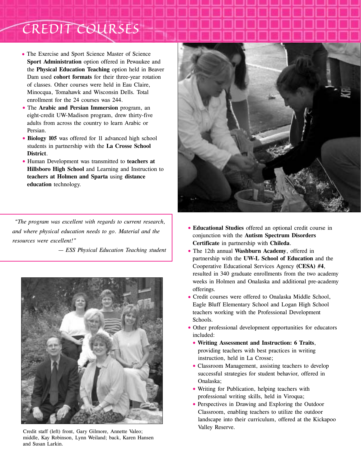## *CREDIT COURSES*

- The Exercise and Sport Science Master of Science **Sport Administration** option offered in Pewaukee and the **Physical Education Teaching** option held in Beaver Dam used **cohort formats** for their three-year rotation of classes. Other courses were held in Eau Claire, Minocqua, Tomahawk and Wisconsin Dells. Total enrollment for the 24 courses was 244.
- The **Arabic and Persian Immersion** program, an eight-credit UW-Madison program, drew thirty-five adults from across the country to learn Arabic or Persian.
- **Biology 105** was offered for 11 advanced high school students in partnership with the **La Crosse School District**.
- Human Development was transmitted to **teachers at Hillsboro High School** and Learning and Instruction to **teachers at Holmen and Sparta** using **distance education** technology.

*"The program was excellent with regards to current research, and where physical education needs to go. Material and the resources were excellent!"*

*— ESS Physical Education Teaching student*



Credit staff (left) front, Gary Gilmore, Annette Valeo; middle, Kay Robinson, Lynn Weiland; back, Karen Hansen and Susan Larkin.



- **Educational Studies** offered an optional credit course in conjunction with the **Autism Spectrum Disorders Certificate** in partnership with **Chileda**.
- The 12th annual **Washburn Academy**, offered in partnership with the **UW-L School of Education** and the Cooperative Educational Services Agency **(CESA) #4**, resulted in 340 graduate enrollments from the two academy weeks in Holmen and Onalaska and additional pre-academy offerings.
- Credit courses were offered to Onalaska Middle School, Eagle Bluff Elementary School and Logan High School teachers working with the Professional Development Schools.
- Other professional development opportunities for educators included:
	- **Writing Assessment and Instruction: 6 Traits**, providing teachers with best practices in writing instruction, held in La Crosse;
	- Classroom Management, assisting teachers to develop successful strategies for student behavior, offered in Onalaska;
	- Writing for Publication, helping teachers with professional writing skills, held in Viroqua;
	- Perspectives in Drawing and Exploring the Outdoor Classroom, enabling teachers to utilize the outdoor landscape into their curriculum, offered at the Kickapoo Valley Reserve.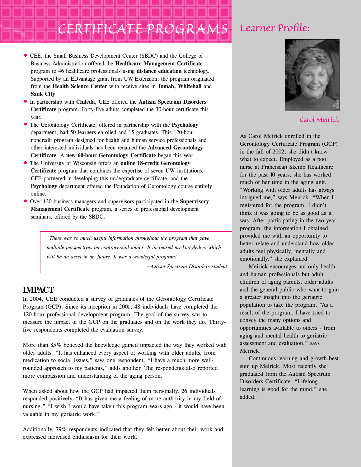# *CERTIFICATE PROGRAMS Learner Profile:*

- CEE, the Small Business Development Center (SBDC) and the College of Business Administration offered the **Healthcare Management Certificate** program to 46 healthcare professionals using **distance education** technology. Supported by an EDvantage grant from UW-Extension, the program originated from the **Health Science Center** with receive sites in **Tomah, Whitehall** and **Sauk City**.
- In partnership with **Chileda**, CEE offered the **Autism Spectrum Disorders Certificate** program. Forty-five adults completed the 30-hour certificate this year.
- The Gerontology Certificate, offered in partnership with the **Psychology** department, had 50 learners enrolled and 15 graduates. This 120-hour noncredit program designed for health and human service professionals and other interested individuals has been renamed the **Advanced Gerontology Certificate**. A **new 60-hour Gerontology Certificate** began this year.
- The University of Wisconsin offers an **online 18-credit Gerontology Certificate** program that combines the expertise of seven UW institutions. CEE partnered in developing this undergraduate certificate, and the **Psychology** department offered the Foundation of Gerontology course entirely online.
- Over 120 business managers and supervisors participated in the **Supervisory Management Certificate** program, a series of professional development seminars, offered by the SBDC.

*"There was so much useful information throughout the program that gave multiple perspectives on controversial topics. It increased my knowledge, which will be an asset in my future. It was a wonderful program!"*

*--Autism Spectrum Disorders student*

#### **IMPACT**

In 2004, CEE conducted a survey of graduates of the Gerontology Certificate Program (GCP). Since its inception in 2001, 48 individuals have completed the 120-hour professional development program. The goal of the survey was to measure the impact of the GCP on the graduates and on the work they do. Thirtyfive respondents completed the evaluation survey.

More than 85% believed the knowledge gained impacted the way they worked with older adults. "It has enhanced every aspect of working with older adults, from medication to social issues," says one respondent. "I have a much more wellrounded approach to my patients," adds another. The respondents also reported more compassion and understanding of the aging person.

When asked about how the GCP had impacted them personally, 26 individuals responded positively. "It has given me a feeling of more authority in my field of nursing." "I wish I would have taken this program years ago - it would have been valuable in my geriatric work."

Additionally, 79% respondents indicated that they felt better about their work and expressed increased enthusiasm for their work.



*Carol Meirick*

As Carol Meirick enrolled in the Gerontology Certificate Program (GCP) in the fall of 2002, she didn't know what to expect. Employed as a pool nurse at Franciscan Skemp Healthcare for the past 10 years, she has worked much of her time in the aging unit. "Working with older adults has always intrigued me," says Meirick. "When I registered for the program, I didn't think it was going to be as good as it was. After participating in the two-year program, the information I obtained provided me with an opportunity to better relate and understand how older adults feel physically, mentally and emotionally," she explained.

Meirick encourages not only health and human professionals but adult children of aging parents, older adults and the general public who want to gain a greater insight into the geriatric population to take the program. "As a result of the program, I have tried to convey the many options and opportunities available to others - from aging and mental health to geriatric assessment and evaluation," says Meirick.

Continuous learning and growth best sum up Meirick. Most recently she graduated from the Autism Spectrum Disorders Certificate. "Lifelong learning is good for the mind," she added.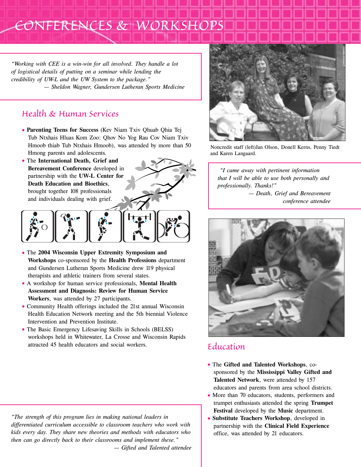### *CONFERENCES & WORKSHOPS*

*"Working with CEE is a win-win for all involved. They handle a lot of logistical details of putting on a seminar while lending the credibility of UW-L and the UW System to the package." — Sheldon Wagner, Gundersen Lutheran Sports Medicine*

#### *Health & Human Services*

- **Parenting Teens for Success** (Kev Niam Txiv Qhuab Qhia Tej Tub Ntxhais Hluas Kom Zoo: Qhov No Yog Rau Cov Niam Txiv Hmoob thiab Tub Ntxhais Hmoob), was attended by more than 50 Hmong parents and adolescents.
- The **International Death, Grief and Bereavement Conference** developed in partnership with the **UW-L Center for Death Education and Bioethics**, brought together 108 professionals and individuals dealing with grief.





- The **2004 Wisconsin Upper Extremity Symposium and Workshops** co-sponsored by the **Health Professions** department and Gundersen Lutheran Sports Medicine drew 119 physical therapists and athletic trainers from several states.
- A workshop for human service professionals, **Mental Health Assessment and Diagnosis: Review for Human Service Workers**, was attended by 27 participants.
- Community Health offerings included the 21st annual Wisconsin Health Education Network meeting and the 5th biennial Violence Intervention and Prevention Institute.
- The Basic Emergency Lifesaving Skills in Schools (BELSS) workshops held in Whitewater, La Crosse and Wisconsin Rapids attracted 45 health educators and social workers.

*"The strength of this program lies in making national leaders in differentiated curriculum accessible to classroom teachers who work with kids every day. They share new theories and methods with educators who then can go directly back to their classrooms and implement these." — Gifted and Talented attendee*



Noncredit staff (left)Jan Olson, Donell Kerns, Penny Tiedt and Karen Langaard.

*"I came away with pertinent information that I will be able to use both personally and professionally. Thanks!" — Death, Grief and Bereavement conference attendee*



#### *Education*

- The **Gifted and Talented Workshops**, cosponsored by the **Mississippi Valley Gifted and Talented Network**, were attended by 157 educators and parents from area school districts.
- More than 70 educators, students, performers and trumpet enthusiasts attended the spring **Trumpet Festival** developed by the **Music** department.
- **Substitute Teachers Workshop**, developed in partnership with the **Clinical Field Experience** office, was attended by 21 educators.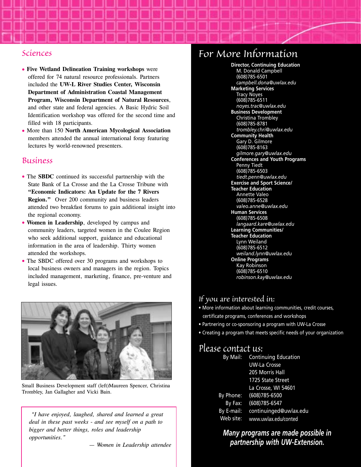#### *Sciences*

- **Five Wetland Delineation Training workshops** were offered for 74 natural resource professionals. Partners included the **UW-L River Studies Center, Wisconsin Department of Administration Coastal Management Program, Wisconsin Department of Natural Resources**, and other state and federal agencies. A Basic Hydric Soil Identification workshop was offered for the second time and filled with 18 participants.
- More than 150 **North American Mycological Association** members attended the annual international foray featuring lectures by world-renowned presenters.

#### *Business*

- The **SBDC** continued its successful partnership with the State Bank of La Crosse and the La Crosse Tribune with **"Economic Indicators: An Update for the 7 Rivers Region."** Over 200 community and business leaders attended two breakfast forums to gain additional insight into the regional economy.
- **Women in Leadership**, developed by campus and community leaders, targeted women in the Coulee Region who seek additional support, guidance and educational information in the area of leadership. Thirty women attended the workshops.
- The SBDC offered over 30 programs and workshops to local business owners and managers in the region. Topics included management, marketing, finance, pre-venture and legal issues.



Small Business Development staff (left)Maureen Spencer, Christina Trombley, Jan Gallagher and Vicki Bain.

*"I have enjoyed, laughed, shared and learned a great deal in these past weeks - and see myself on a path to bigger and better things, roles and leadership opportunities."*

*— Women in Leadership attendee*

### *For More Information*

**Director, Continuing Education** M. Donald Campbell (608)785-6501 *campbell.dona@uwlax.edu* **Marketing Services** Tracy Noyes (608)785-6511 *noyes.trac@uwlax.edu* **Business Development** Christina Trombley (608)785-8781 *trombley.chri@uwlax.edu* **Community Health** Gary D. Gilmore (608)785-8163 *gilmore.gary@uwlax.edu* **Conferences and Youth Programs** Penny Tiedt (608)785-6503 *tiedt.penn@uwlax.edu* **Exercise and Sport Science/ Teacher Education** Annette Valeo (608)785-6528 *valeo.anne@uwlax.edu* **Human Services** (608)785-6508 *langaard.kare@uwlax.edu* **Learning Communities/ Teacher Education** Lynn Weiland (608)785-6512 *weiland.lynn@uwlax.edu*  **Online Programs** Kay Robinson (608)785-6510 *robinson.kay@uwlax.edu*

#### *If you are interested in:*

- More information about learning communities, credit courses, certificate programs, conferences and workshops
- Partnering or co-sponsoring a program with UW-La Crosse
- Creating a program that meets specific needs of your organization

#### *Please contact us:*

| By Mail:   | <b>Continuing Education</b> |
|------------|-----------------------------|
|            | <b>UW-La Crosse</b>         |
|            | 205 Morris Hall             |
|            | 1725 State Street           |
|            | La Crosse, WI 54601         |
| By Phone:  | (608)785-6500               |
| By Fax:    | (608) 785-6547              |
| By E-mail: | continuinged@uwlax.edu      |
| Web site:  | www.uwlax.edu/conted        |

*Many programs are made possible in partnership with UW-Extension.*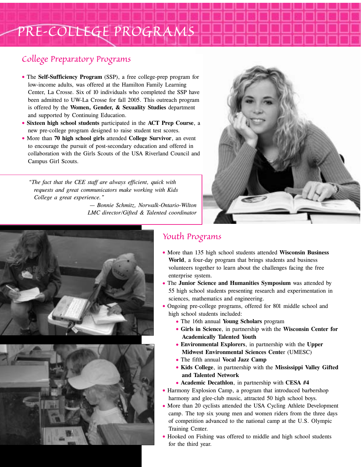### *PRE-COLLEGE PROGRAMS*

#### *College Preparatory Programs*

- The **Self-Sufficiency Program** (SSP), a free college-prep program for low-income adults, was offered at the Hamilton Family Learning Center, La Crosse. Six of 10 individuals who completed the SSP have been admitted to UW-La Crosse for fall 2005. This outreach program is offered by the **Women, Gender, & Sexuality Studies** department and supported by Continuing Education.
- **Sixteen high school students** participated in the **ACT Prep Course**, a new pre-college program designed to raise student test scores.
- More than **70 high school girls** attended **College Survivor**, an event to encourage the pursuit of post-secondary education and offered in collaboration with the Girls Scouts of the USA Riverland Council and Campus Girl Scouts.

*"The fact that the CEE staff are always efficient, quick with requests and great communicators make working with Kids College a great experience."*

> *— Bonnie Schmitz, Norwalk-Ontario-Wilton LMC director/Gifted & Talented coordinator*







#### *Youth Programs*

- More than 135 high school students attended **Wisconsin Business World**, a four-day program that brings students and business volunteers together to learn about the challenges facing the free enterprise system.
- The **Junior Science and Humanities Symposium** was attended by 55 high school students presenting research and experimentation in sciences, mathematics and engineering.
- Ongoing pre-college programs, offered for 801 middle school and high school students included:
	- The 16th annual **Young Scholars** program
	- **Girls in Science**, in partnership with the **Wisconsin Center for Academically Talented Youth**
	- **Environmental Explorers**, in partnership with the **Upper Midwest Environmental Sciences Cente**r (UMESC)
	- The fifth annual **Vocal Jazz Camp**
	- **Kids College**, in partnership with the **Mississippi Valley Gifted and Talented Network**
	- **Academic Decathlon**, in partnership with **CESA #4**
- Harmony Explosion Camp, a program that introduced barbershop harmony and glee-club music, attracted 50 high school boys.
- More than 20 cyclists attended the USA Cycling Athlete Development camp. The top six young men and women riders from the three days of competition advanced to the national camp at the U.S. Olympic Training Center.
- Hooked on Fishing was offered to middle and high school students for the third year.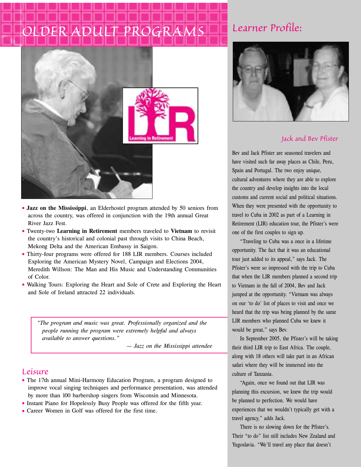# *OLDER ADULT PROGRAMS*



- **Jazz on the Mississippi**, an Elderhostel program attended by 50 seniors from across the country, was offered in conjunction with the 19th annual Great River Jazz Fest.
- Twenty-two **Learning in Retirement** members traveled to **Vietnam** to revisit the country's historical and colonial past through visits to China Beach, Mekong Delta and the American Embassy in Saigon.
- Thirty-four programs were offered for 188 LIR members. Courses included Exploring the American Mystery Novel, Campaign and Elections 2004, Meredith Willson: The Man and His Music and Understanding Communities of Color.
- Walking Tours: Exploring the Heart and Sole of Crete and Exploring the Heart and Sole of Ireland attracted 22 individuals.

*"The program and music was great. Professionally organized and the people running the program were extremely helpful and always available to answer questions."*

*— Jazz on the Mississippi attendee*

#### *Leisure*

- The 17th annual Mini-Harmony Education Program, a program designed to improve vocal singing techniques and performance presentation, was attended by more than 100 barbershop singers from Wisconsin and Minnesota.
- Instant Piano for Hopelessly Busy People was offered for the fifth year.
- Career Women in Golf was offered for the first time.

### *Learner Profile:*



#### *Jack and Bev Pfister*

Bev and Jack Pfister are seasoned travelers and have visited such far away places as Chile, Peru, Spain and Portugal. The two enjoy unique, cultural adventures where they are able to explore the country and develop insights into the local customs and current social and political situations. When they were presented with the opportunity to travel to Cuba in 2002 as part of a Learning in Retirement (LIR) education tour, the Pfister's were one of the first couples to sign up.

"Traveling to Cuba was a once in a lifetime opportunity. The fact that it was an educational tour just added to its appeal," says Jack. The Pfister's were so impressed with the trip to Cuba that when the LIR members planned a second trip to Vietnam in the fall of 2004, Bev and Jack jumped at the opportunity. "Vietnam was always on our 'to do' list of places to visit and once we heard that the trip was being planned by the same LIR members who planned Cuba we knew it would be great," says Bev.

In September 2005, the Pfister's will be taking their third LIR trip to East Africa. The couple, along with 18 others will take part in an African safari where they will be immersed into the culture of Tanzania.

"Again, once we found out that LIR was planning this excursion, we knew the trip would be planned to perfection. We would have experiences that we wouldn't typically get with a travel agency," adds Jack.

There is no slowing down for the Pfister's. Their "to do" list still includes New Zealand and Yugoslavia. "We'll travel any place that doesn't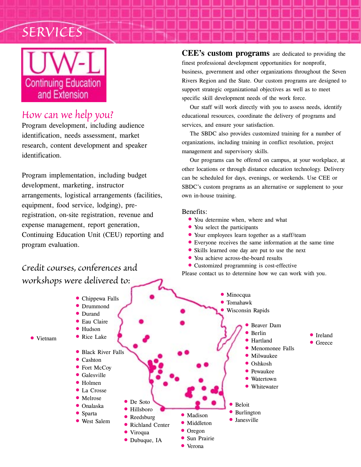



#### *How can we help you?*

Program development, including audience identification, needs assessment, market research, content development and speaker identification.

Program implementation, including budget development, marketing, instructor arrangements, logistical arrangements (facilities, equipment, food service, lodging), preregistration, on-site registration, revenue and expense management, report generation, Continuing Education Unit (CEU) reporting and program evaluation.

#### *Credit courses, conferences and workshops were delivered to:*

**CEE's custom programs** are dedicated to providing the finest professional development opportunities for nonprofit, business, government and other organizations throughout the Seven Rivers Region and the State. Our custom programs are designed to support strategic organizational objectives as well as to meet specific skill development needs of the work force.

Our staff will work directly with you to assess needs, identify educational resources, coordinate the delivery of programs and services, and ensure your satisfaction.

The SBDC also provides customized training for a number of organizations, including training in conflict resolution, project management and supervisory skills.

Our programs can be offered on campus, at your workplace, at other locations or through distance education technology. Delivery can be scheduled for days, evenings, or weekends. Use CEE or SBDC's custom programs as an alternative or supplement to your own in-house training.

#### Benefits:

- You determine when, where and what
- You select the participants
- Your employees learn together as a staff/team
- Everyone receives the same information at the same time
- Skills learned one day are put to use the next
- You achieve across-the-board results
- Customized programming is cost-effective

Please contact us to determine how we can work with you.

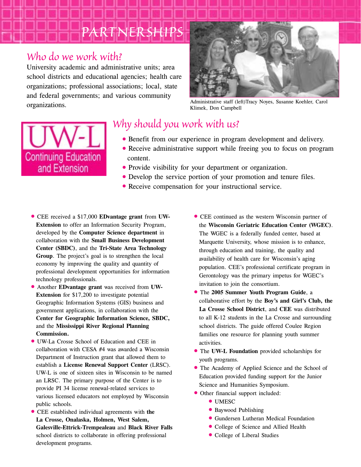# *PARTNERSHIPS*

#### *Who do we work with?*

University academic and administrative units; area school districts and educational agencies; health care organizations; professional associations; local, state and federal governments; and various community organizations.



Administrative staff (left)Tracy Noyes, Susanne Koehler, Carol Klimek, Don Campbell



### *Why should you work with us?*

- Benefit from our experience in program development and delivery.
- Receive administrative support while freeing you to focus on program content.
- Provide visibility for your department or organization.
- Develop the service portion of your promotion and tenure files.
- Receive compensation for your instructional service.
- CEE received a \$17,000 **EDvantage grant** from **UW-Extension** to offer an Information Security Program, developed by the **Computer Science department** in collaboration with the **Small Business Development Center (SBDC)**, and the **Tri-State Area Technology Group**. The project's goal is to strengthen the local economy by improving the quality and quantity of professional development opportunities for information technology professionals.
- Another **EDvantage grant** was received from **UW-Extension** for \$17,200 to investigate potential Geographic Information Systems (GIS) business and government applications, in collaboration with the **Center for Geographic Information Science, SBDC,** and the **Mississippi River Regional Planning Commission.**
- UW-La Crosse School of Education and CEE in collaboration with CESA #4 was awarded a Wisconsin Department of Instruction grant that allowed them to establish a **License Renewal Support Center** (LRSC). UW-L is one of sixteen sites in Wisconsin to be named an LRSC. The primary purpose of the Center is to provide PI 34 license renewal-related services to various licensed educators not employed by Wisconsin public schools.
- CEE established individual agreements with **the La Crosse, Onalaska, Holmen, West Salem, Galesville-Ettrick-Trempealeau** and **Black River Falls** school districts to collaborate in offering professional development programs.
- CEE continued as the western Wisconsin partner of the **Wisconsin Geriatric Education Center (WGEC)**. The WGEC is a federally funded center, based at Marquette University, whose mission is to enhance, through education and training, the quality and availability of health care for Wisconsin's aging population. CEE's professional certificate program in Gerontology was the primary impetus for WGEC's invitation to join the consortium.
- The **2005 Summer Youth Program Guide**, a collaborative effort by the **Boy's and Girl's Club, the La Crosse School District**, and **CEE** was distributed to all K-12 students in the La Crosse and surrounding school districts. The guide offered Coulee Region families one resource for planning youth summer activities.
- The **UW-L Foundation** provided scholarships for youth programs.
- The Academy of Applied Science and the School of Education provided funding support for the Junior Science and Humanities Symposium.
- Other financial support included:
	- UMESC
	- Baywood Publishing
	- Gundersen Lutheran Medical Foundation
	- College of Science and Allied Health
	- College of Liberal Studies